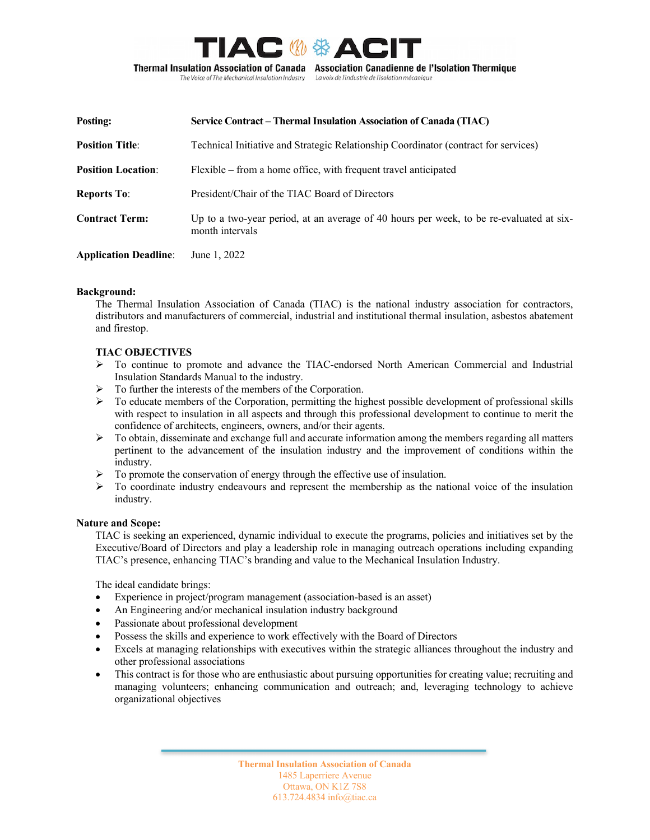

La voix de l'industrie de l'isolation mécanique

The Voice of The Mechanical Insulation Industry

| Posting:                     | Service Contract – Thermal Insulation Association of Canada (TIAC)                                         |
|------------------------------|------------------------------------------------------------------------------------------------------------|
| <b>Position Title:</b>       | Technical Initiative and Strategic Relationship Coordinator (contract for services)                        |
| <b>Position Location:</b>    | Flexible – from a home office, with frequent travel anticipated                                            |
| <b>Reports To:</b>           | President/Chair of the TIAC Board of Directors                                                             |
| <b>Contract Term:</b>        | Up to a two-year period, at an average of 40 hours per week, to be re-evaluated at six-<br>month intervals |
| <b>Application Deadline:</b> | June 1, 2022                                                                                               |

#### **Background:**

The Thermal Insulation Association of Canada (TIAC) is the national industry association for contractors, distributors and manufacturers of commercial, industrial and institutional thermal insulation, asbestos abatement and firestop.

## **TIAC OBJECTIVES**

- $\triangleright$  To continue to promote and advance the TIAC-endorsed North American Commercial and Industrial Insulation Standards Manual to the industry.
- $\triangleright$  To further the interests of the members of the Corporation.
- $\triangleright$  To educate members of the Corporation, permitting the highest possible development of professional skills with respect to insulation in all aspects and through this professional development to continue to merit the confidence of architects, engineers, owners, and/or their agents.
- $\triangleright$  To obtain, disseminate and exchange full and accurate information among the members regarding all matters pertinent to the advancement of the insulation industry and the improvement of conditions within the industry.
- $\triangleright$  To promote the conservation of energy through the effective use of insulation.
- $\triangleright$  To coordinate industry endeavours and represent the membership as the national voice of the insulation industry.

#### **Nature and Scope:**

TIAC is seeking an experienced, dynamic individual to execute the programs, policies and initiatives set by the Executive/Board of Directors and play a leadership role in managing outreach operations including expanding TIAC's presence, enhancing TIAC's branding and value to the Mechanical Insulation Industry.

The ideal candidate brings:

- Experience in project/program management (association-based is an asset)
- An Engineering and/or mechanical insulation industry background
- Passionate about professional development
- Possess the skills and experience to work effectively with the Board of Directors
- Excels at managing relationships with executives within the strategic alliances throughout the industry and other professional associations
- This contract is for those who are enthusiastic about pursuing opportunities for creating value; recruiting and managing volunteers; enhancing communication and outreach; and, leveraging technology to achieve organizational objectives

**Thermal Insulation Association of Canada** 1485 Laperriere Avenue Ottawa, ON K1Z 7S8 613.724.4834 info@tiac.ca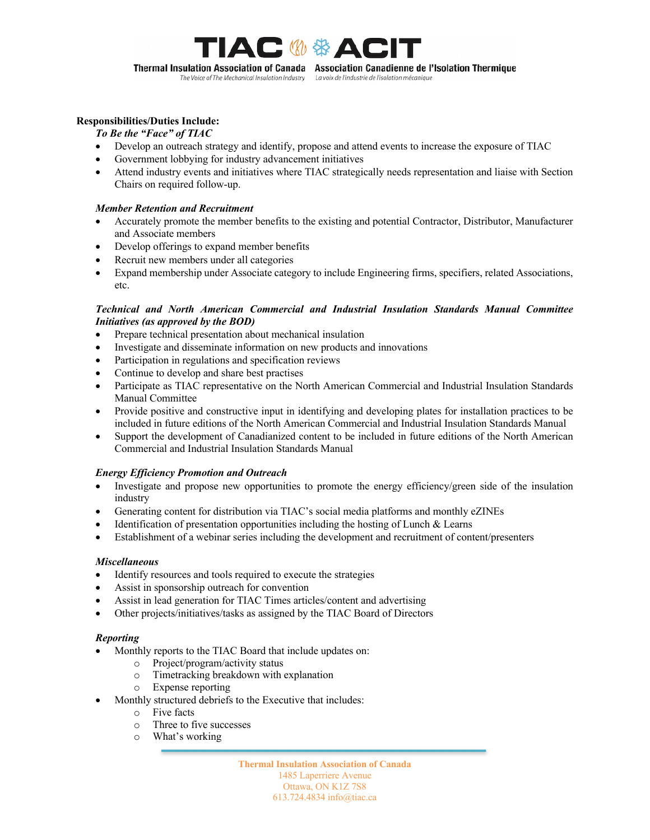

#### **Responsibilities/Duties Include:**

- *To Be the "Face" of TIAC*
- Develop an outreach strategy and identify, propose and attend events to increase the exposure of TIAC
- Government lobbying for industry advancement initiatives
- Attend industry events and initiatives where TIAC strategically needs representation and liaise with Section Chairs on required follow-up.

#### *Member Retention and Recruitment*

- Accurately promote the member benefits to the existing and potential Contractor, Distributor, Manufacturer and Associate members
- Develop offerings to expand member benefits
- Recruit new members under all categories
- Expand membership under Associate category to include Engineering firms, specifiers, related Associations, etc.

#### *Technical and North American Commercial and Industrial Insulation Standards Manual Committee Initiatives (as approved by the BOD)*

- Prepare technical presentation about mechanical insulation
- Investigate and disseminate information on new products and innovations
- Participation in regulations and specification reviews
- Continue to develop and share best practises
- Participate as TIAC representative on the North American Commercial and Industrial Insulation Standards Manual Committee
- Provide positive and constructive input in identifying and developing plates for installation practices to be included in future editions of the North American Commercial and Industrial Insulation Standards Manual
- Support the development of Canadianized content to be included in future editions of the North American Commercial and Industrial Insulation Standards Manual

#### *Energy Efficiency Promotion and Outreach*

- Investigate and propose new opportunities to promote the energy efficiency/green side of the insulation industry
- Generating content for distribution via TIAC's social media platforms and monthly eZINEs
- Identification of presentation opportunities including the hosting of Lunch  $&$  Learns
- Establishment of a webinar series including the development and recruitment of content/presenters

#### *Miscellaneous*

- Identify resources and tools required to execute the strategies
- Assist in sponsorship outreach for convention
- Assist in lead generation for TIAC Times articles/content and advertising
- Other projects/initiatives/tasks as assigned by the TIAC Board of Directors

## *Reporting*

- Monthly reports to the TIAC Board that include updates on:
	- o Project/program/activity status
	- o Timetracking breakdown with explanation
	- o Expense reporting
	- Monthly structured debriefs to the Executive that includes:
		- o Five facts
		- o Three to five successes
		- o What's working

**Thermal Insulation Association of Canada** 1485 Laperriere Avenue Ottawa, ON K1Z 7S8 613.724.4834 info@tiac.ca